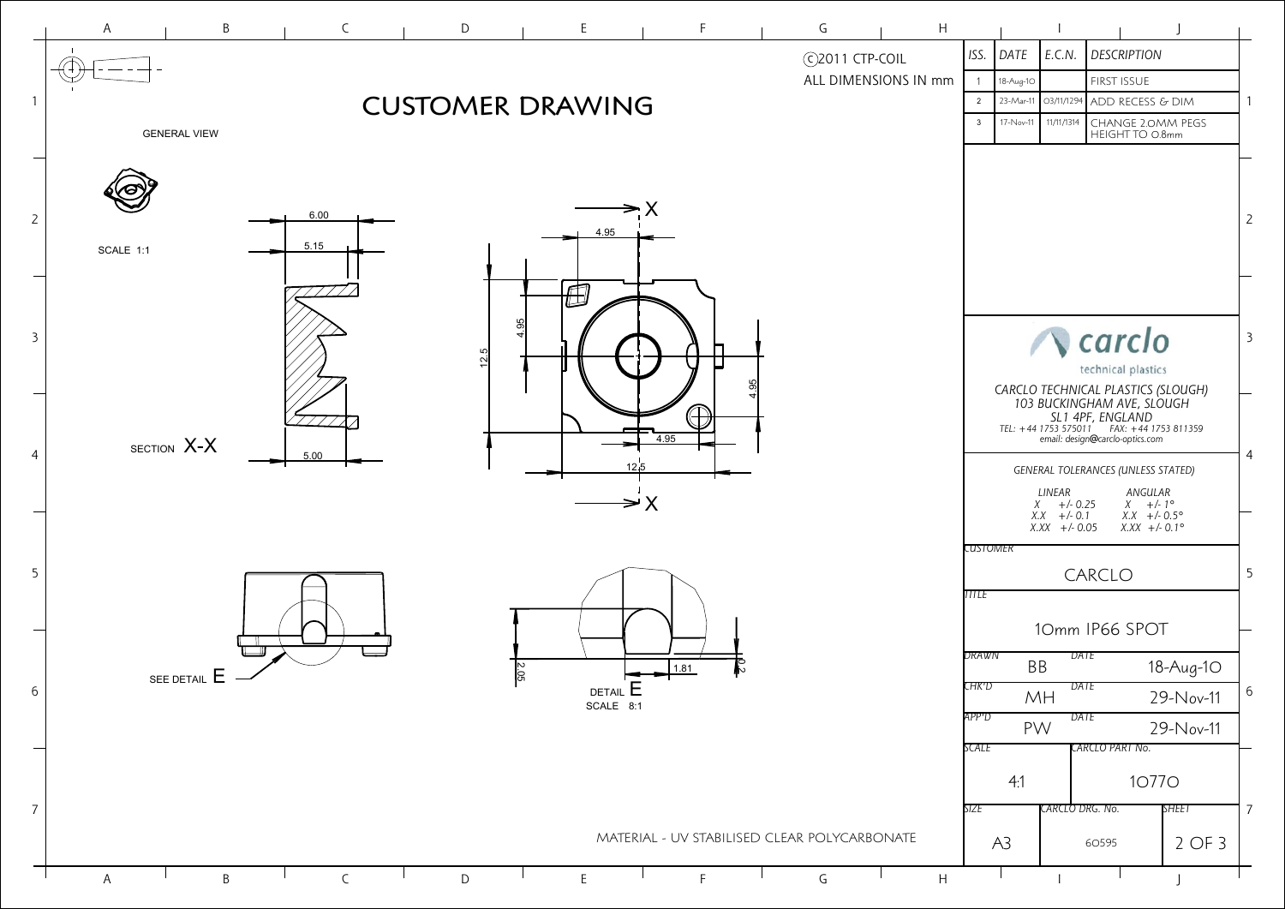